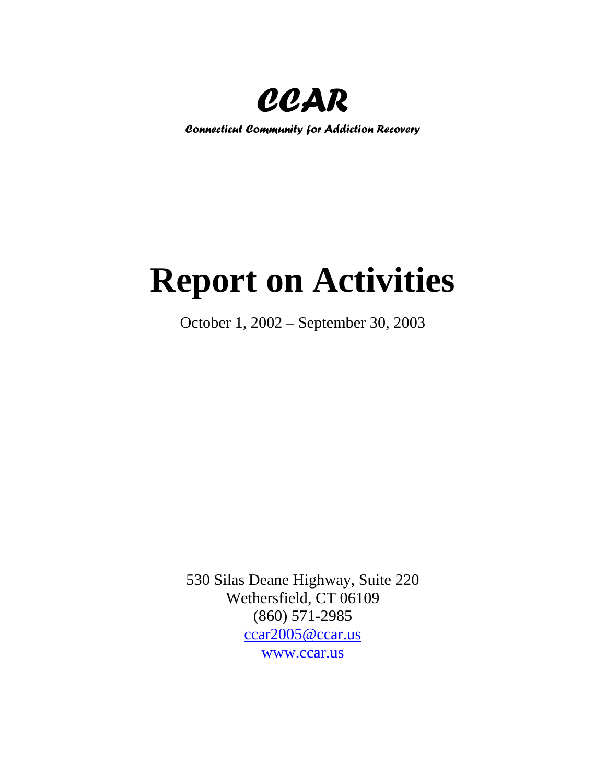

*Connecticut Community for Addiction Recovery*

# **Report on Activities**

October 1, 2002 – September 30, 2003

530 Silas Deane Highway, Suite 220 Wethersfield, CT 06109 (860) 571-2985 [ccar2005@ccar.us](mailto:ccar2005@ccar.us) [www.ccar.us](http://www.ccar.us/)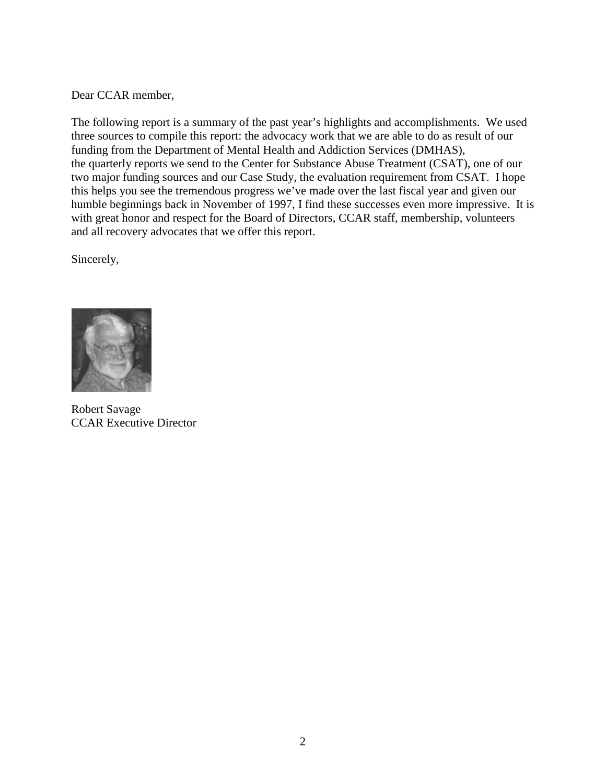Dear CCAR member,

The following report is a summary of the past year's highlights and accomplishments. We used three sources to compile this report: the advocacy work that we are able to do as result of our funding from the Department of Mental Health and Addiction Services (DMHAS), the quarterly reports we send to the Center for Substance Abuse Treatment (CSAT), one of our two major funding sources and our Case Study, the evaluation requirement from CSAT. I hope this helps you see the tremendous progress we've made over the last fiscal year and given our humble beginnings back in November of 1997, I find these successes even more impressive. It is with great honor and respect for the Board of Directors, CCAR staff, membership, volunteers and all recovery advocates that we offer this report.

Sincerely,



Robert Savage CCAR Executive Director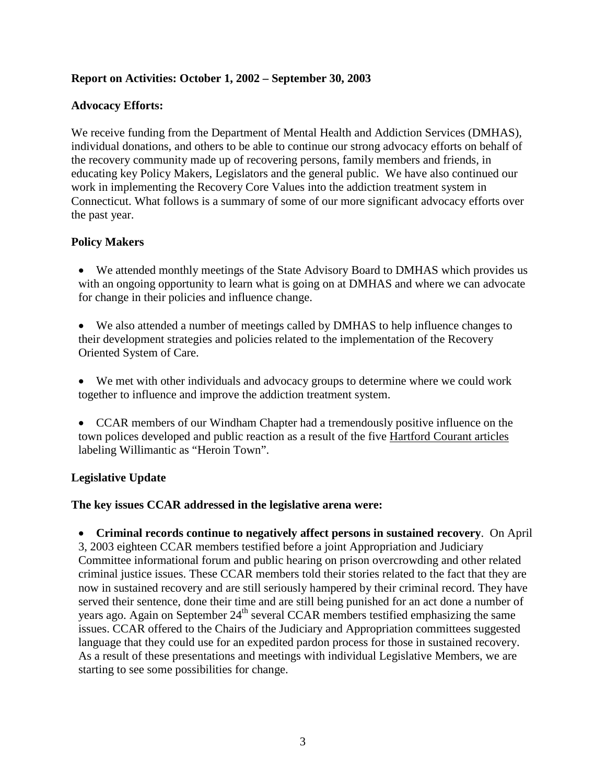# **Report on Activities: October 1, 2002 – September 30, 2003**

#### **Advocacy Efforts:**

We receive funding from the Department of Mental Health and Addiction Services (DMHAS), individual donations, and others to be able to continue our strong advocacy efforts on behalf of the recovery community made up of recovering persons, family members and friends, in educating key Policy Makers, Legislators and the general public. We have also continued our work in implementing the Recovery Core Values into the addiction treatment system in Connecticut. What follows is a summary of some of our more significant advocacy efforts over the past year.

# **Policy Makers**

- We attended monthly meetings of the State Advisory Board to DMHAS which provides us with an ongoing opportunity to learn what is going on at DMHAS and where we can advocate for change in their policies and influence change.
- We also attended a number of meetings called by DMHAS to help influence changes to their development strategies and policies related to the implementation of the Recovery Oriented System of Care.
- We met with other individuals and advocacy groups to determine where we could work together to influence and improve the addiction treatment system.
- CCAR members of our Windham Chapter had a tremendously positive influence on the town polices developed and public reaction as a result of the five Hartford Courant articles labeling Willimantic as "Heroin Town".

#### **Legislative Update**

#### **The key issues CCAR addressed in the legislative arena were:**

• **Criminal records continue to negatively affect persons in sustained recovery**. On April 3, 2003 eighteen CCAR members testified before a joint Appropriation and Judiciary Committee informational forum and public hearing on prison overcrowding and other related criminal justice issues. These CCAR members told their stories related to the fact that they are now in sustained recovery and are still seriously hampered by their criminal record. They have served their sentence, done their time and are still being punished for an act done a number of years ago. Again on September 24<sup>th</sup> several CCAR members testified emphasizing the same issues. CCAR offered to the Chairs of the Judiciary and Appropriation committees suggested language that they could use for an expedited pardon process for those in sustained recovery. As a result of these presentations and meetings with individual Legislative Members, we are starting to see some possibilities for change.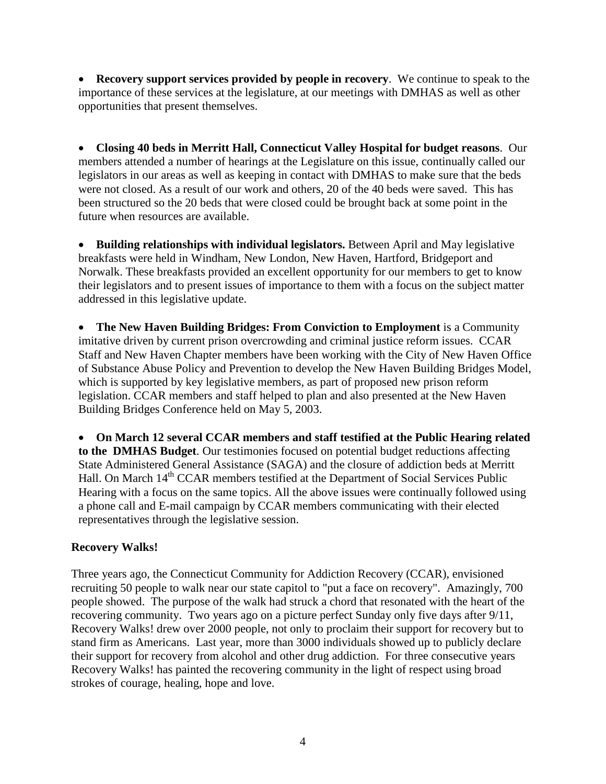**Recovery support services provided by people in recovery.** We continue to speak to the importance of these services at the legislature, at our meetings with DMHAS as well as other opportunities that present themselves.

• **Closing 40 beds in Merritt Hall, Connecticut Valley Hospital for budget reasons**. Our members attended a number of hearings at the Legislature on this issue, continually called our legislators in our areas as well as keeping in contact with DMHAS to make sure that the beds were not closed. As a result of our work and others, 20 of the 40 beds were saved. This has been structured so the 20 beds that were closed could be brought back at some point in the future when resources are available.

• **Building relationships with individual legislators.** Between April and May legislative breakfasts were held in Windham, New London, New Haven, Hartford, Bridgeport and Norwalk. These breakfasts provided an excellent opportunity for our members to get to know their legislators and to present issues of importance to them with a focus on the subject matter addressed in this legislative update.

• **The New Haven Building Bridges: From Conviction to Employment** is a Community imitative driven by current prison overcrowding and criminal justice reform issues. CCAR Staff and New Haven Chapter members have been working with the City of New Haven Office of Substance Abuse Policy and Prevention to develop the New Haven Building Bridges Model, which is supported by key legislative members, as part of proposed new prison reform legislation. CCAR members and staff helped to plan and also presented at the New Haven Building Bridges Conference held on May 5, 2003.

• **On March 12 several CCAR members and staff testified at the Public Hearing related to the DMHAS Budget**. Our testimonies focused on potential budget reductions affecting State Administered General Assistance (SAGA) and the closure of addiction beds at Merritt Hall. On March 14<sup>th</sup> CCAR members testified at the Department of Social Services Public Hearing with a focus on the same topics. All the above issues were continually followed using a phone call and E-mail campaign by CCAR members communicating with their elected representatives through the legislative session.

# **Recovery Walks!**

Three years ago, the Connecticut Community for Addiction Recovery (CCAR), envisioned recruiting 50 people to walk near our state capitol to "put a face on recovery". Amazingly, 700 people showed. The purpose of the walk had struck a chord that resonated with the heart of the recovering community. Two years ago on a picture perfect Sunday only five days after 9/11, Recovery Walks! drew over 2000 people, not only to proclaim their support for recovery but to stand firm as Americans. Last year, more than 3000 individuals showed up to publicly declare their support for recovery from alcohol and other drug addiction. For three consecutive years Recovery Walks! has painted the recovering community in the light of respect using broad strokes of courage, healing, hope and love.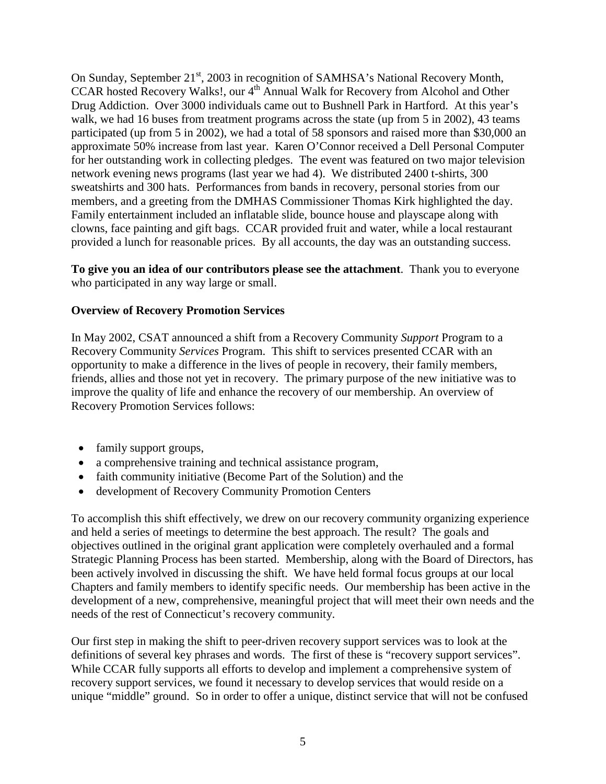On Sunday, September 21<sup>st</sup>, 2003 in recognition of SAMHSA's National Recovery Month, CCAR hosted Recovery Walks!, our 4<sup>th</sup> Annual Walk for Recovery from Alcohol and Other Drug Addiction. Over 3000 individuals came out to Bushnell Park in Hartford. At this year's walk, we had 16 buses from treatment programs across the state (up from 5 in 2002), 43 teams participated (up from 5 in 2002), we had a total of 58 sponsors and raised more than \$30,000 an approximate 50% increase from last year. Karen O'Connor received a Dell Personal Computer for her outstanding work in collecting pledges. The event was featured on two major television network evening news programs (last year we had 4). We distributed 2400 t-shirts, 300 sweatshirts and 300 hats. Performances from bands in recovery, personal stories from our members, and a greeting from the DMHAS Commissioner Thomas Kirk highlighted the day. Family entertainment included an inflatable slide, bounce house and playscape along with clowns, face painting and gift bags. CCAR provided fruit and water, while a local restaurant provided a lunch for reasonable prices. By all accounts, the day was an outstanding success.

**To give you an idea of our contributors please see the attachment**. Thank you to everyone who participated in any way large or small.

# **Overview of Recovery Promotion Services**

In May 2002, CSAT announced a shift from a Recovery Community *Support* Program to a Recovery Community *Services* Program. This shift to services presented CCAR with an opportunity to make a difference in the lives of people in recovery, their family members, friends, allies and those not yet in recovery. The primary purpose of the new initiative was to improve the quality of life and enhance the recovery of our membership. An overview of Recovery Promotion Services follows:

- family support groups,
- a comprehensive training and technical assistance program,
- faith community initiative (Become Part of the Solution) and the
- development of Recovery Community Promotion Centers

To accomplish this shift effectively, we drew on our recovery community organizing experience and held a series of meetings to determine the best approach. The result? The goals and objectives outlined in the original grant application were completely overhauled and a formal Strategic Planning Process has been started. Membership, along with the Board of Directors, has been actively involved in discussing the shift. We have held formal focus groups at our local Chapters and family members to identify specific needs. Our membership has been active in the development of a new, comprehensive, meaningful project that will meet their own needs and the needs of the rest of Connecticut's recovery community.

Our first step in making the shift to peer-driven recovery support services was to look at the definitions of several key phrases and words. The first of these is "recovery support services". While CCAR fully supports all efforts to develop and implement a comprehensive system of recovery support services, we found it necessary to develop services that would reside on a unique "middle" ground. So in order to offer a unique, distinct service that will not be confused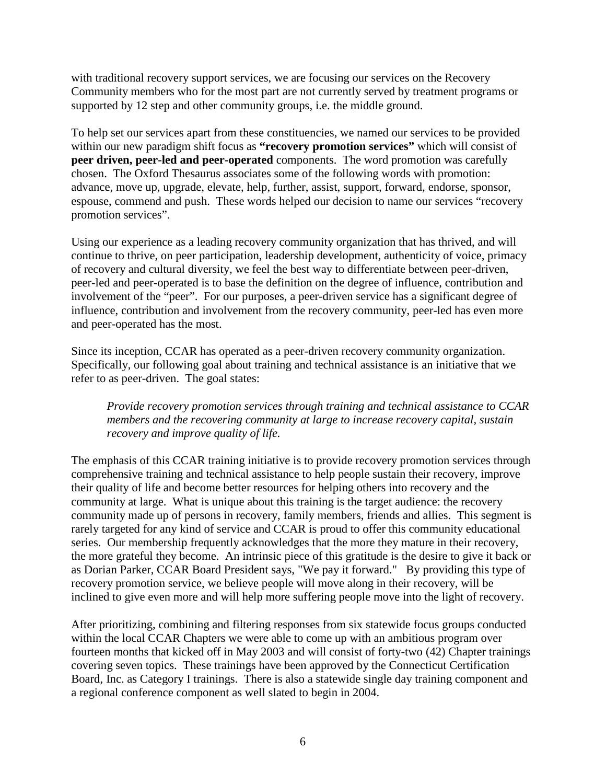with traditional recovery support services, we are focusing our services on the Recovery Community members who for the most part are not currently served by treatment programs or supported by 12 step and other community groups, i.e. the middle ground.

To help set our services apart from these constituencies, we named our services to be provided within our new paradigm shift focus as **"recovery promotion services"** which will consist of **peer driven, peer-led and peer-operated** components. The word promotion was carefully chosen. The Oxford Thesaurus associates some of the following words with promotion: advance, move up, upgrade, elevate, help, further, assist, support, forward, endorse, sponsor, espouse, commend and push. These words helped our decision to name our services "recovery promotion services".

Using our experience as a leading recovery community organization that has thrived, and will continue to thrive, on peer participation, leadership development, authenticity of voice, primacy of recovery and cultural diversity, we feel the best way to differentiate between peer-driven, peer-led and peer-operated is to base the definition on the degree of influence, contribution and involvement of the "peer". For our purposes, a peer-driven service has a significant degree of influence, contribution and involvement from the recovery community, peer-led has even more and peer-operated has the most.

Since its inception, CCAR has operated as a peer-driven recovery community organization. Specifically, our following goal about training and technical assistance is an initiative that we refer to as peer-driven. The goal states:

*Provide recovery promotion services through training and technical assistance to CCAR members and the recovering community at large to increase recovery capital, sustain recovery and improve quality of life.* 

The emphasis of this CCAR training initiative is to provide recovery promotion services through comprehensive training and technical assistance to help people sustain their recovery, improve their quality of life and become better resources for helping others into recovery and the community at large. What is unique about this training is the target audience: the recovery community made up of persons in recovery, family members, friends and allies. This segment is rarely targeted for any kind of service and CCAR is proud to offer this community educational series. Our membership frequently acknowledges that the more they mature in their recovery, the more grateful they become. An intrinsic piece of this gratitude is the desire to give it back or as Dorian Parker, CCAR Board President says, "We pay it forward." By providing this type of recovery promotion service, we believe people will move along in their recovery, will be inclined to give even more and will help more suffering people move into the light of recovery.

After prioritizing, combining and filtering responses from six statewide focus groups conducted within the local CCAR Chapters we were able to come up with an ambitious program over fourteen months that kicked off in May 2003 and will consist of forty-two (42) Chapter trainings covering seven topics. These trainings have been approved by the Connecticut Certification Board, Inc. as Category I trainings. There is also a statewide single day training component and a regional conference component as well slated to begin in 2004.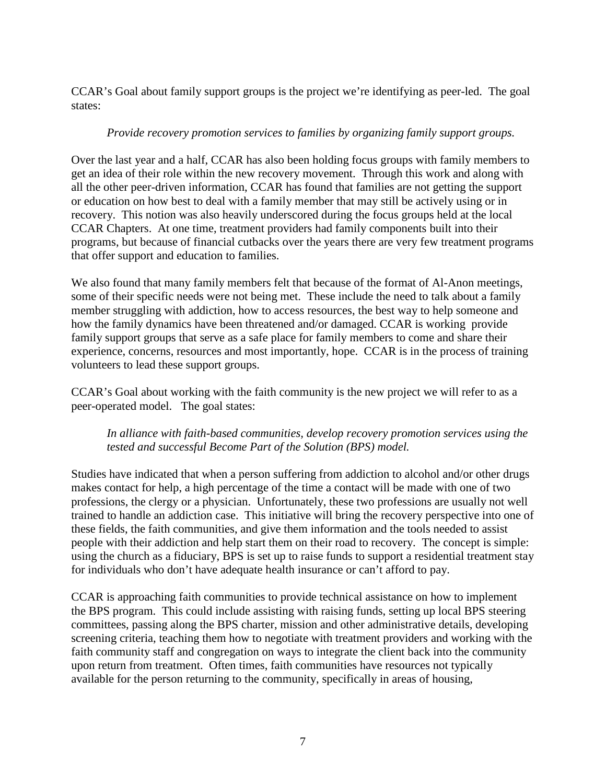CCAR's Goal about family support groups is the project we're identifying as peer-led. The goal states:

# *Provide recovery promotion services to families by organizing family support groups.*

Over the last year and a half, CCAR has also been holding focus groups with family members to get an idea of their role within the new recovery movement. Through this work and along with all the other peer-driven information, CCAR has found that families are not getting the support or education on how best to deal with a family member that may still be actively using or in recovery. This notion was also heavily underscored during the focus groups held at the local CCAR Chapters. At one time, treatment providers had family components built into their programs, but because of financial cutbacks over the years there are very few treatment programs that offer support and education to families.

We also found that many family members felt that because of the format of Al-Anon meetings, some of their specific needs were not being met. These include the need to talk about a family member struggling with addiction, how to access resources, the best way to help someone and how the family dynamics have been threatened and/or damaged. CCAR is working provide family support groups that serve as a safe place for family members to come and share their experience, concerns, resources and most importantly, hope. CCAR is in the process of training volunteers to lead these support groups.

CCAR's Goal about working with the faith community is the new project we will refer to as a peer-operated model. The goal states:

# *In alliance with faith-based communities, develop recovery promotion services using the tested and successful Become Part of the Solution (BPS) model.*

Studies have indicated that when a person suffering from addiction to alcohol and/or other drugs makes contact for help, a high percentage of the time a contact will be made with one of two professions, the clergy or a physician. Unfortunately, these two professions are usually not well trained to handle an addiction case. This initiative will bring the recovery perspective into one of these fields, the faith communities, and give them information and the tools needed to assist people with their addiction and help start them on their road to recovery. The concept is simple: using the church as a fiduciary, BPS is set up to raise funds to support a residential treatment stay for individuals who don't have adequate health insurance or can't afford to pay.

CCAR is approaching faith communities to provide technical assistance on how to implement the BPS program. This could include assisting with raising funds, setting up local BPS steering committees, passing along the BPS charter, mission and other administrative details, developing screening criteria, teaching them how to negotiate with treatment providers and working with the faith community staff and congregation on ways to integrate the client back into the community upon return from treatment. Often times, faith communities have resources not typically available for the person returning to the community, specifically in areas of housing,